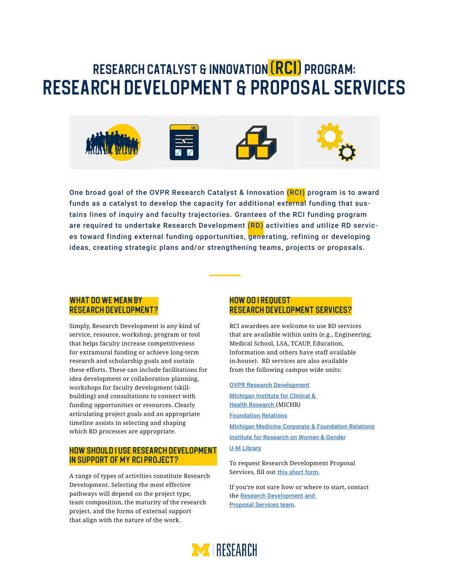# Research Catalyst & Innovation (RCI) Program: Research Development & Proposal Services



One broad goal of the OVPR Research Catalyst & Innovation (RCI) program is to award funds as a catalyst to develop the capacity for additional external funding that sustains lines of inquiry and faculty trajectories. Grantees of the RCI funding program are required to undertake Research Development (RD) activities and utilize RD services toward finding external funding opportunities, generating, refining or developing ideas, creating strategic plans and/or strengthening teams, projects or proposals.

# WHAT DO WE MEAN BY Research Development?

Simply, Research Development is any kind of service, resource, workshop, program or tool that helps faculty increase competitiveness for extramural funding or achieve long-term research and scholarship goals and sustain these efforts. These can include facilitations for idea development or collaboration planning, workshops for faculty development (skillbuilding) and consultations to connect with funding opportunities or resources. Clearly articulating project goals and an appropriate timeline assists in selecting and shaping which RD processes are appropriate.

# How should I use Research Development in support of my RCI project?

A range of types of activities constitute Research Development. Selecting the most effective pathways will depend on the project type, team composition, the maturity of the research project, and the forms of external support that align with the nature of the work.

### How do I request Research Development services?

RCI awardees are welcome to use RD services that are available within units (e.g., Engineering, Medical School, LSA, TCAUP, Education, Information and others have staff available in-house). RD services are also available from the following campus wide units:

#### [OVPR Research Development](https://research.umich.edu/research-development)

[Michigan Institute for Clinical &](https://michr.umich.edu/by-topic)  [Health Research](https://michr.umich.edu/by-topic) (MICHR) [Foundation Relations](https://foundations.umich.edu/) [Michigan Medicine Corporate & Foundation Relations](https://foundations.umich.edu/about-us-michigan-medicine/) [Institute for Research on Women & Gender](https://irwg.umich.edu/faculty-research-support-services) [U-M Library](https://guides.lib.umich.edu/researchfunding)

To request Research Development Proposal Services, fill out [this short form](https://airtable.com/shrYg2uQKr1NgmCV4).

If you're not sure how or where to start, contact the [Research Development and](mailto:UMOR-RDTeam@umich.edu)  [Proposal Services team](mailto:UMOR-RDTeam@umich.edu).